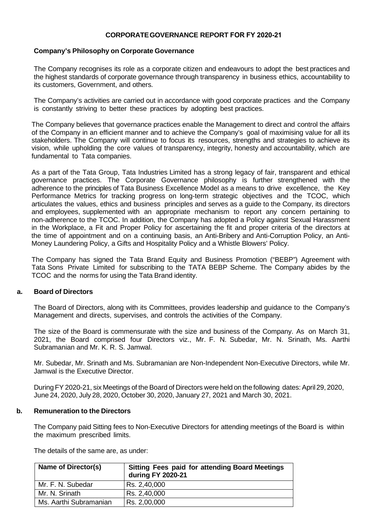# **CORPORATEGOVERNANCE REPORT FOR FY 2020-21**

### **Company's Philosophy on Corporate Governance**

The Company recognises its role as a corporate citizen and endeavours to adopt the best practices and the highest standards of corporate governance through transparency in business ethics, accountability to its customers, Government, and others.

The Company's activities are carried out in accordance with good corporate practices and the Company is constantly striving to better these practices by adopting best practices.

The Company believes that governance practices enable the Management to direct and control the affairs of the Company in an efficient manner and to achieve the Company's goal of maximising value for all its stakeholders. The Company will continue to focus its resources, strengths and strategies to achieve its vision, while upholding the core values of transparency, integrity, honesty and accountability, which are fundamental to Tata companies.

As a part of the Tata Group, Tata Industries Limited has a strong legacy of fair, transparent and ethical governance practices. The Corporate Governance philosophy is further strengthened with the adherence to the principles of Tata Business Excellence Model as a means to drive excellence, the Key Performance Metrics for tracking progress on long-term strategic objectives and the TCOC, which articulates the values, ethics and business principles and serves as a guide to the Company, its directors and employees, supplemented with an appropriate mechanism to report any concern pertaining to non-adherence to the TCOC. In addition, the Company has adopted a Policy against Sexual Harassment in the Workplace, a Fit and Proper Policy for ascertaining the fit and proper criteria of the directors at the time of appointment and on a continuing basis, an Anti-Bribery and Anti-Corruption Policy, an Anti-Money Laundering Policy, a Gifts and Hospitality Policy and a Whistle Blowers' Policy.

The Company has signed the Tata Brand Equity and Business Promotion ("BEBP") Agreement with Tata Sons Private Limited for subscribing to the TATA BEBP Scheme. The Company abides by the TCOC and the norms for using the Tata Brand identity.

## **a. Board of Directors**

The Board of Directors, along with its Committees, provides leadership and guidance to the Company's Management and directs, supervises, and controls the activities of the Company.

The size of the Board is commensurate with the size and business of the Company. As on March 31, 2021, the Board comprised four Directors viz., Mr. F. N. Subedar, Mr. N. Srinath, Ms. Aarthi Subramanian and Mr. K. R. S. Jamwal.

Mr. Subedar, Mr. Srinath and Ms. Subramanian are Non-Independent Non-Executive Directors, while Mr. Jamwal is the Executive Director.

During FY 2020-21, six Meetings of the Board of Directors were held on the following dates: April29, 2020, June 24, 2020, July 28, 2020, October 30, 2020, January 27, 2021 and March 30, 2021.

#### **b. Remuneration to the Directors**

The Company paid Sitting fees to Non-Executive Directors for attending meetings of the Board is within the maximum prescribed limits.

The details of the same are, as under:

| Name of Director(s)    | Sitting Fees paid for attending Board Meetings<br>during FY 2020-21 |
|------------------------|---------------------------------------------------------------------|
| Mr. F. N. Subedar      | Rs. 2,40,000                                                        |
| Mr. N. Srinath         | Rs. 2,40,000                                                        |
| Ms. Aarthi Subramanian | Rs. 2,00,000                                                        |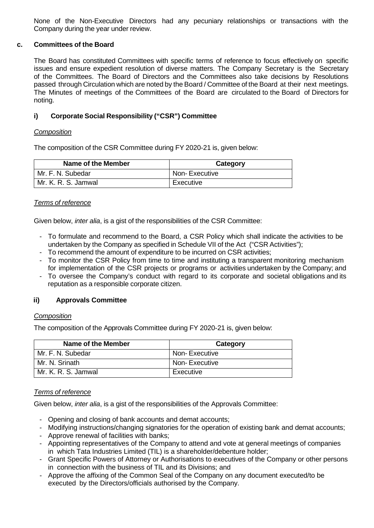None of the Non-Executive Directors had any pecuniary relationships or transactions with the Company during the year under review.

## **c. Committees of the Board**

The Board has constituted Committees with specific terms of reference to focus effectively on specific issues and ensure expedient resolution of diverse matters. The Company Secretary is the Secretary of the Committees. The Board of Directors and the Committees also take decisions by Resolutions passed through Circulation which are noted by the Board / Committee of the Board at their next meetings. The Minutes of meetings of the Committees of the Board are circulated to the Board of Directors for noting.

# **i) Corporate Social Responsibility ("CSR") Committee**

#### *Composition*

The composition of the CSR Committee during FY 2020-21 is, given below:

| Name of the Member  | Category      |
|---------------------|---------------|
| Mr. F. N. Subedar   | Non-Executive |
| Mr. K. R. S. Jamwal | Executive     |

## *Terms of reference*

Given below, *inter alia*, is a gist of the responsibilities of the CSR Committee:

- To formulate and recommend to the Board, a CSR Policy which shall indicate the activities to be undertaken by the Company as specified in Schedule VII of the Act ("CSR Activities");
- To recommend the amount of expenditure to be incurred on CSR activities;
- To monitor the CSR Policy from time to time and instituting a transparent monitoring mechanism for implementation of the CSR projects or programs or activities undertaken by the Company; and
- To oversee the Company's conduct with regard to its corporate and societal obligations and its reputation as a responsible corporate citizen.

## **ii) Approvals Committee**

## *Composition*

The composition of the Approvals Committee during FY 2020-21 is, given below:

| Name of the Member  | Category      |
|---------------------|---------------|
| Mr. F. N. Subedar   | Non-Executive |
| Mr. N. Srinath      | Non-Executive |
| Mr. K. R. S. Jamwal | Executive     |

## *Terms of reference*

Given below, *inter alia*, is a gist of the responsibilities of the Approvals Committee:

- Opening and closing of bank accounts and demat accounts;
- Modifying instructions/changing signatories for the operation of existing bank and demat accounts;
- Approve renewal of facilities with banks;
- Appointing representatives of the Company to attend and vote at general meetings of companies in which Tata Industries Limited (TIL) is a shareholder/debenture holder;
- Grant Specific Powers of Attorney or Authorisations to executives of the Company or other persons in connection with the business of TIL and its Divisions; and
- Approve the affixing of the Common Seal of the Company on any document executed/to be executed by the Directors/officials authorised by the Company.